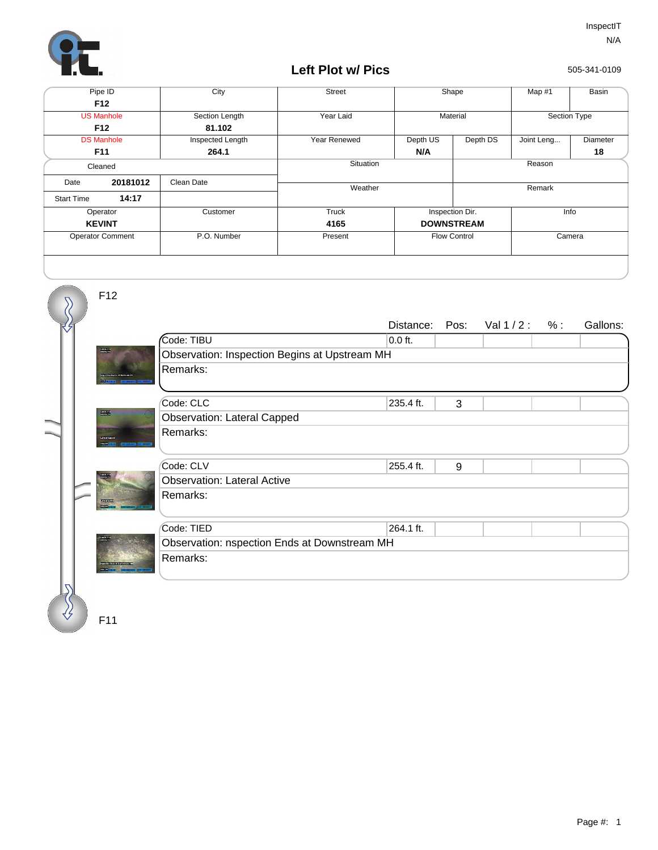

## **Left Plot w/ Pics**

505-341-0109

| Pipe ID                 |          | City             | <b>Street</b> | Shape               |          | Map #1       | Basin    |
|-------------------------|----------|------------------|---------------|---------------------|----------|--------------|----------|
| F <sub>12</sub>         |          |                  |               |                     |          |              |          |
| <b>US Manhole</b>       |          | Section Length   | Year Laid     | Material            |          | Section Type |          |
| F <sub>12</sub>         |          | 81.102           |               |                     |          |              |          |
| <b>DS Manhole</b>       |          | Inspected Length | Year Renewed  | Depth US            | Depth DS | Joint Leng   | Diameter |
| F11                     |          | 264.1            |               | N/A                 |          |              | 18       |
| Cleaned                 |          |                  | Situation     |                     | Reason   |              |          |
| Date                    | 20181012 | Clean Date       |               |                     |          |              |          |
|                         |          |                  | Weather       |                     | Remark   |              |          |
| <b>Start Time</b>       | 14:17    |                  |               |                     |          |              |          |
| Operator                |          | Customer         | Truck         | Inspection Dir.     |          | Info         |          |
| <b>KEVINT</b>           |          |                  | 4165          | <b>DOWNSTREAM</b>   |          |              |          |
| <b>Operator Comment</b> |          | P.O. Number      | Present       | <b>Flow Control</b> |          | Camera       |          |
|                         |          |                  |               |                     |          |              |          |